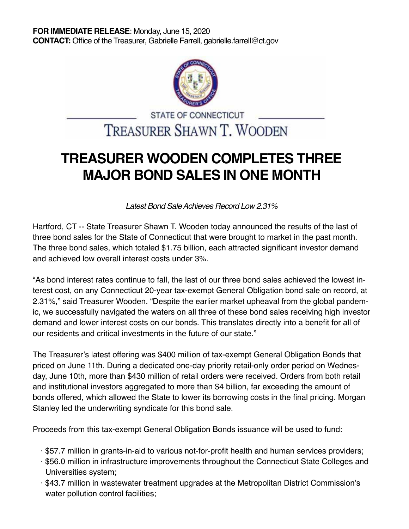

## STATE OF CONNECTICUT **TREASURER SHAWN T. WOODEN**

## **TREASURER WOODEN COMPLETES THREE MAJOR BOND SALES IN ONE MONTH**

Latest Bond Sale Achieves Record Low 2.31%

Hartford, CT -- State Treasurer Shawn T. Wooden today announced the results of the last of three bond sales for the State of Connecticut that were brought to market in the past month. The three bond sales, which totaled \$1.75 billion, each attracted significant investor demand and achieved low overall interest costs under 3%.

"As bond interest rates continue to fall, the last of our three bond sales achieved the lowest interest cost, on any Connecticut 20-year tax-exempt General Obligation bond sale on record, at 2.31%," said Treasurer Wooden. "Despite the earlier market upheaval from the global pandemic, we successfully navigated the waters on all three of these bond sales receiving high investor demand and lower interest costs on our bonds. This translates directly into a benefit for all of our residents and critical investments in the future of our state."

The Treasurer's latest offering was \$400 million of tax-exempt General Obligation Bonds that priced on June 11th. During a dedicated one-day priority retail-only order period on Wednesday, June 10th, more than \$430 million of retail orders were received. Orders from both retail and institutional investors aggregated to more than \$4 billion, far exceeding the amount of bonds offered, which allowed the State to lower its borrowing costs in the final pricing. Morgan Stanley led the underwriting syndicate for this bond sale.

Proceeds from this tax-exempt General Obligation Bonds issuance will be used to fund:

- · \$57.7 million in grants-in-aid to various not-for-profit health and human services providers;
- · \$56.0 million in infrastructure improvements throughout the Connecticut State Colleges and Universities system;
- · \$43.7 million in wastewater treatment upgrades at the Metropolitan District Commission's water pollution control facilities;